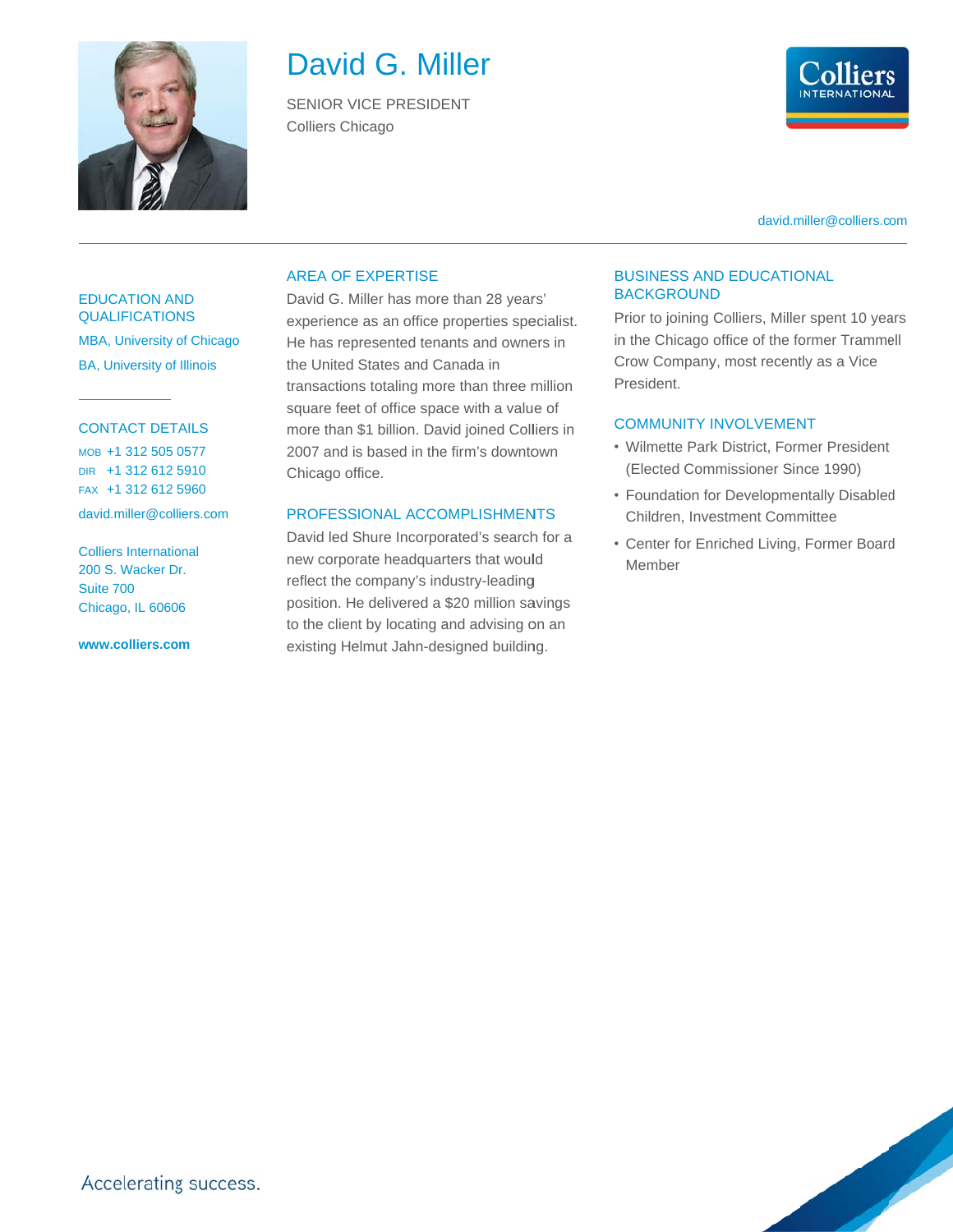

# David G. Miller

**SENIOR VICE PRESIDENT Colliers Chicago** 



david.miller@colliers.com

#### **EDUCATION AND QUALIFICATIONS**

MBA, University of Chicago **BA, University of Illinois** 

### **CONTACT DETAILS**

MOB +1 312 505 0577 DIR +1 312 612 5910 FAX +1 312 612 5960

david.miller@colliers.com

**Colliers International** 200 S. Wacker Dr. Suite 700 Chicago, IL 60606

www.colliers.com

#### **AREA OF EXPERTISE**

David G. Miller has more than 28 years' experience as an office properties specialist. He has represented tenants and owners in the United States and Canada in transactions totaling more than three million square feet of office space with a value of more than \$1 billion. David joined Colliers in 2007 and is based in the firm's downtown Chicago office.

### PROFESSIONAL ACCOMPLISHMENTS

David led Shure Incorporated's search for a new corporate headquarters that would reflect the company's industry-leading position. He delivered a \$20 million savings to the client by locating and advising on an existing Helmut Jahn-designed building.

#### **BUSINESS AND EDUCATIONAL BACKGROUND**

Prior to joining Colliers, Miller spent 10 years in the Chicago office of the former Trammell Crow Company, most recently as a Vice President.

### **COMMUNITY INVOLVEMENT**

- Wilmette Park District, Former President (Elected Commissioner Since 1990)
- Foundation for Developmentally Disabled Children, Investment Committee
- Center for Enriched Living, Former Board Member